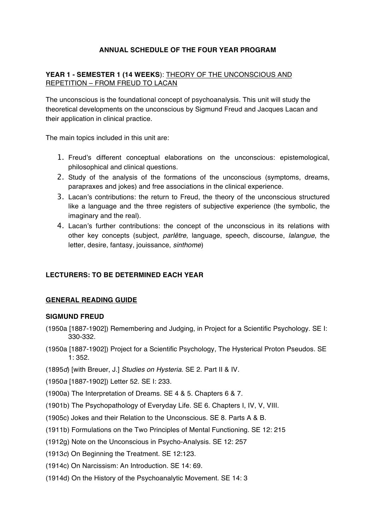# **ANNUAL SCHEDULE OF THE FOUR YEAR PROGRAM**

## **YEAR 1 - SEMESTER 1 (14 WEEKS**): THEORY OF THE UNCONSCIOUS AND REPETITION – FROM FREUD TO LACAN

The unconscious is the foundational concept of psychoanalysis. This unit will study the theoretical developments on the unconscious by Sigmund Freud and Jacques Lacan and their application in clinical practice.

The main topics included in this unit are:

- 1. Freud's different conceptual elaborations on the unconscious: epistemological, philosophical and clinical questions.
- 2. Study of the analysis of the formations of the unconscious (symptoms, dreams, parapraxes and jokes) and free associations in the clinical experience.
- 3. Lacan's contributions: the return to Freud, the theory of the unconscious structured like a language and the three registers of subjective experience (the symbolic, the imaginary and the real).
- 4. Lacan's further contributions: the concept of the unconscious in its relations with other key concepts (subject, *parlêtre*, language, speech, discourse, *lalangue*, the letter, desire, fantasy, jouissance, *sinthome*)

### **LECTURERS: TO BE DETERMINED EACH YEAR**

### **GENERAL READING GUIDE**

#### **SIGMUND FREUD**

- (1950a [1887-1902]) Remembering and Judging, in Project for a Scientific Psychology. SE I: 330-332.
- (1950a [1887-1902]) Project for a Scientific Psychology, The Hysterical Proton Pseudos. SE 1: 352.
- (1895*d*) [with Breuer, J.] *Studies on Hysteria.* SE 2. Part II & IV.
- (1950*a* [1887-1902]) Letter 52. SE I: 233.
- (1900a) The Interpretation of Dreams. SE 4 & 5. Chapters 6 & 7.
- (1901b) The Psychopathology of Everyday Life. SE 6. Chapters I, IV, V, VIII.
- (1905c) Jokes and their Relation to the Unconscious. SE 8. Parts A & B.
- (1911b) Formulations on the Two Principles of Mental Functioning. SE 12: 215
- (1912g) Note on the Unconscious in Psycho-Analysis. SE 12: 257
- (1913*c*) On Beginning the Treatment. SE 12:123.
- (1914c) On Narcissism: An Introduction. SE 14: 69.
- (1914d) On the History of the Psychoanalytic Movement. SE 14: 3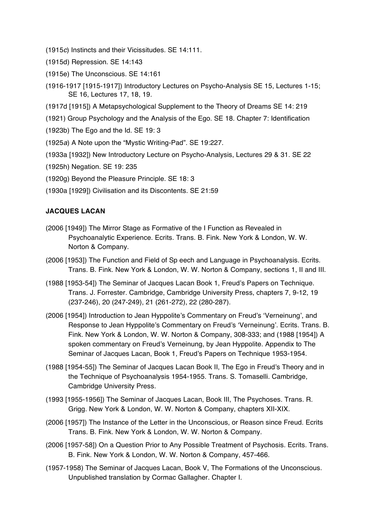- (1915*c*) Instincts and their Vicissitudes. SE 14:111.
- (1915d) Repression. SE 14:143
- (1915e) The Unconscious. SE 14:161
- (1916-1917 [1915-1917]) Introductory Lectures on Psycho-Analysis SE 15, Lectures 1-15; SE 16, Lectures 17, 18, 19.
- (1917d [1915]) A Metapsychological Supplement to the Theory of Dreams SE 14: 219
- (1921) Group Psychology and the Analysis of the Ego. SE 18. Chapter 7: Identification
- (1923b) The Ego and the Id. SE 19: 3
- (1925*a*) A Note upon the "Mystic Writing-Pad". SE 19:227.
- (1933a [1932]) New Introductory Lecture on Psycho-Analysis, Lectures 29 & 31. SE 22
- (1925h) Negation. SE 19: 235
- (1920g) Beyond the Pleasure Principle. SE 18: 3
- (1930a [1929]) Civilisation and its Discontents. SE 21:59

#### **JACQUES LACAN**

- (2006 [1949]) The Mirror Stage as Formative of the I Function as Revealed in Psychoanalytic Experience. Ecrits. Trans. B. Fink. New York & London, W. W. Norton & Company.
- (2006 [1953]) The Function and Field of Sp eech and Language in Psychoanalysis. Ecrits. Trans. B. Fink. New York & London, W. W. Norton & Company, sections 1, II and III.
- (1988 [1953-54]) The Seminar of Jacques Lacan Book 1, Freud's Papers on Technique. Trans. J. Forrester. Cambridge, Cambridge University Press, chapters 7, 9-12, 19 (237-246), 20 (247-249), 21 (261-272), 22 (280-287).
- (2006 [1954]) Introduction to Jean Hyppolite's Commentary on Freud's 'Verneinung', and Response to Jean Hyppolite's Commentary on Freud's 'Verneinung'. Ecrits. Trans. B. Fink. New York & London, W. W. Norton & Company, 308-333; and (1988 [1954]) A spoken commentary on Freud's Verneinung, by Jean Hyppolite. Appendix to The Seminar of Jacques Lacan, Book 1, Freud's Papers on Technique 1953-1954.
- (1988 [1954-55]) The Seminar of Jacques Lacan Book II, The Ego in Freud's Theory and in the Technique of Psychoanalysis 1954-1955. Trans. S. Tomaselli. Cambridge, Cambridge University Press.
- (1993 [1955-1956]) The Seminar of Jacques Lacan, Book III, The Psychoses. Trans. R. Grigg. New York & London, W. W. Norton & Company, chapters XII-XIX.
- (2006 [1957]) The Instance of the Letter in the Unconscious, or Reason since Freud. Ecrits Trans. B. Fink. New York & London, W. W. Norton & Company.
- (2006 [1957-58]) On a Question Prior to Any Possible Treatment of Psychosis. Ecrits. Trans. B. Fink. New York & London, W. W. Norton & Company, 457-466.
- (1957-1958) The Seminar of Jacques Lacan, Book V, The Formations of the Unconscious. Unpublished translation by Cormac Gallagher. Chapter I.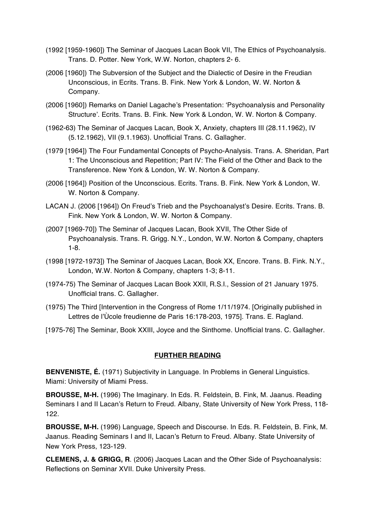- (1992 [1959-1960]) The Seminar of Jacques Lacan Book VII, The Ethics of Psychoanalysis. Trans. D. Potter. New York, W.W. Norton, chapters 2- 6.
- (2006 [1960]) The Subversion of the Subject and the Dialectic of Desire in the Freudian Unconscious, in Ecrits. Trans. B. Fink. New York & London, W. W. Norton & Company.
- (2006 [1960]) Remarks on Daniel Lagache's Presentation: 'Psychoanalysis and Personality Structure'. Ecrits. Trans. B. Fink. New York & London, W. W. Norton & Company.
- (1962-63) The Seminar of Jacques Lacan, Book X, Anxiety, chapters III (28.11.1962), IV (5.12.1962), VII (9.1.1963). Unofficial Trans. C. Gallagher.
- (1979 [1964]) The Four Fundamental Concepts of Psycho-Analysis. Trans. A. Sheridan, Part 1: The Unconscious and Repetition; Part IV: The Field of the Other and Back to the Transference. New York & London, W. W. Norton & Company.
- (2006 [1964]) Position of the Unconscious. Ecrits. Trans. B. Fink. New York & London, W. W. Norton & Company.
- LACAN J. (2006 [1964]) On Freud's Trieb and the Psychoanalyst's Desire. Ecrits. Trans. B. Fink. New York & London, W. W. Norton & Company.
- (2007 [1969-70]) The Seminar of Jacques Lacan, Book XVII, The Other Side of Psychoanalysis. Trans. R. Grigg. N.Y., London, W.W. Norton & Company, chapters 1-8.
- (1998 [1972-1973]) The Seminar of Jacques Lacan, Book XX, Encore. Trans. B. Fink. N.Y., London, W.W. Norton & Company, chapters 1-3; 8-11.
- (1974-75) The Seminar of Jacques Lacan Book XXII, R.S.I., Session of 21 January 1975. Unofficial trans. C. Gallagher.
- (1975) The Third [Intervention in the Congress of Rome 1/11/1974. [Originally published in Lettres de l'Ùcole freudienne de Paris 16:178-203, 1975]. Trans. E. Ragland.
- [1975-76] The Seminar, Book XXIII, Joyce and the Sinthome. Unofficial trans. C. Gallagher.

#### **FURTHER READING**

**BENVENISTE, É.** (1971) Subjectivity in Language. In Problems in General Linguistics. Miami: University of Miami Press.

**BROUSSE, M-H.** (1996) The Imaginary. In Eds. R. Feldstein, B. Fink, M. Jaanus. Reading Seminars I and II Lacan's Return to Freud. Albany, State University of New York Press, 118- 122.

**BROUSSE, M-H.** (1996) Language, Speech and Discourse. In Eds. R. Feldstein, B. Fink, M. Jaanus. Reading Seminars I and II, Lacan's Return to Freud. Albany. State University of New York Press, 123-129.

**CLEMENS, J. & GRIGG, R**. (2006) Jacques Lacan and the Other Side of Psychoanalysis: Reflections on Seminar XVII. Duke University Press.